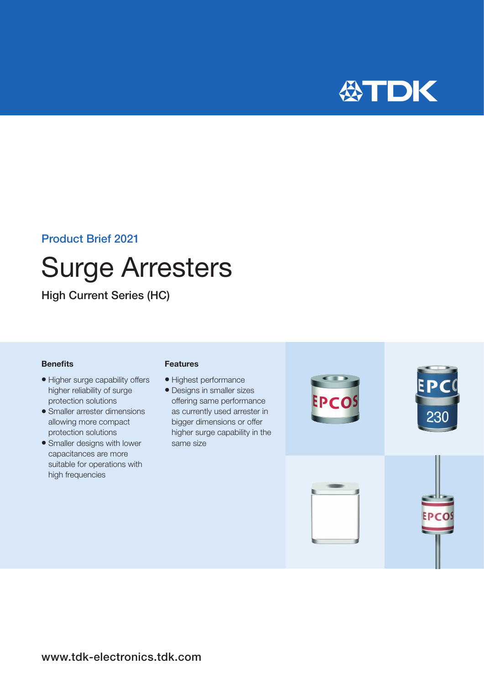

### Product Brief 2021

# Surge Arresters

High Current Series (HC)

#### **Benefits**

- Higher surge capability offers higher reliability of surge protection solutions
- Smaller arrester dimensions allowing more compact protection solutions
- Smaller designs with lower capacitances are more suitable for operations with high frequencies

#### Features

- Highest performance
- Designs in smaller sizes offering same performance as currently used arrester in bigger dimensions or offer higher surge capability in the same size